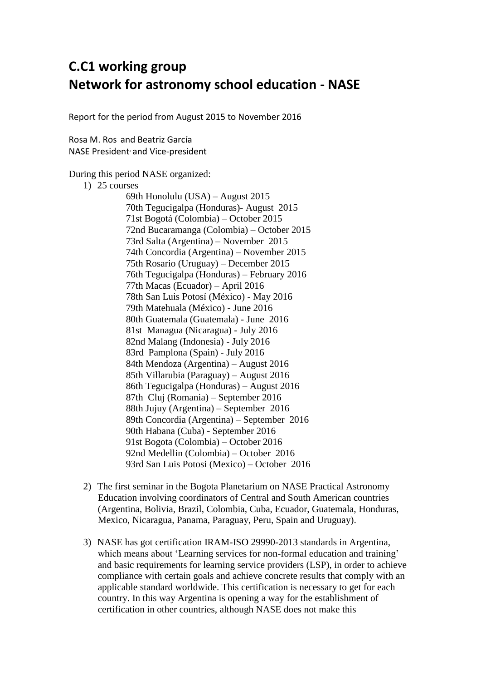## **C.C1 working group Network for astronomy school education - NASE**

Report for the period from August 2015 to November 2016

Rosa M. Ros and Beatriz García NASE President, and Vice-president

## During this period NASE organized:

1) 25 courses

69th Honolulu (USA) – August 2015 70th Tegucigalpa (Honduras)- August 2015 71st Bogotá (Colombia) – October 2015 72nd Bucaramanga (Colombia) – October 2015 73rd Salta (Argentina) – November 2015 74th Concordia (Argentina) – November 2015 75th Rosario (Uruguay) – December 2015 76th Tegucigalpa (Honduras) – February 2016 77th Macas (Ecuador) – April 2016 78th [San Luis Potosí \(México\) -](http://sac.csic.es/astrosecundaria/es/cursos/realizados/reglados/078_sanluispotosi_2016/ListaDocs.php) May 2016 79th [Matehuala \(México\) -](http://sac.csic.es/astrosecundaria/es/cursos/realizados/reglados/079_matehuala_2016/ListaDocs.php) June 2016 80th [Guatemala \(Guatemala\) -](http://sac.csic.es/astrosecundaria/es/cursos/realizados/reglados/080_guatemala_2016/ListaDocs.php) June 2016 81st [Managua \(Nicaragua\) -](http://sac.csic.es/astrosecundaria/es/cursos/realizados/reglados/081_managua_2016/ListaDocs.php) July 2016 82nd [Malang \(Indonesia\) -](http://sac.csic.es/astrosecundaria/es/cursos/realizados/reglados/082_malang_2016/ListaDocs.php) July 2016 83rd [Pamplona \(Spain\) -](http://sac.csic.es/astrosecundaria/es/cursos/realizados/reglados/083_pamplona_2016/ListaDocs.php) July 2016 84th Mendoza (Argentina) – August 2016 85th Villarubia (Paraguay) – August 2016 86th Tegucigalpa (Honduras) – August 2016 87th Cluj (Romania) – September 2016 88th Jujuy (Argentina) – September 2016 89th Concordia (Argentina) – September 2016 90th Habana (Cuba) - September 2016 91st Bogota (Colombia) – October 2016 92nd Medellin (Colombia) – October 2016 93rd San Luis Potosi (Mexico) – October 2016

- 2) The first seminar in the Bogota Planetarium on NASE Practical Astronomy Education involving coordinators of Central and South American countries (Argentina, Bolivia, Brazil, Colombia, Cuba, Ecuador, Guatemala, Honduras, Mexico, Nicaragua, Panama, Paraguay, Peru, Spain and Uruguay).
- 3) NASE has got certification IRAM-ISO 29990-2013 standards in Argentina, which means about 'Learning services for non-formal education and training' and basic requirements for learning service providers (LSP), in order to achieve compliance with certain goals and achieve concrete results that comply with an applicable standard worldwide. This certification is necessary to get for each country. In this way Argentina is opening a way for the establishment of certification in other countries, although NASE does not make this